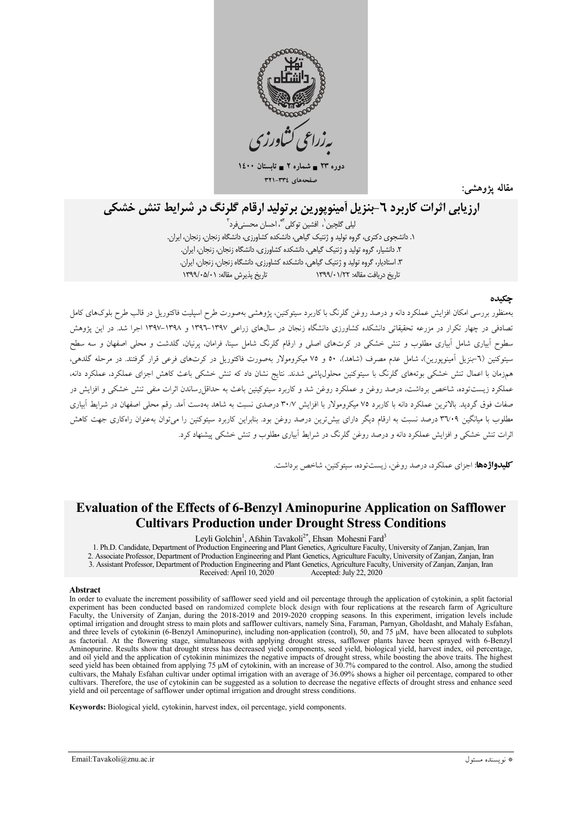

دورہ ۲۳ = شمارہ ۲ = تابہ  $15 \leftrightarrow 74$ صفحههای ٣٣٤-٣٣١

مقاله يژوهشه

# ارزیابی اثرات کاربرد ٦-بنزیل آمینویورین برتولید ارقام گلرنگ در شرایط تنش خشکی

ليلي گلڃين`، افشين توکلي<sup>™</sup>، احسان محسنے،فرد<sup>۳</sup> ۱. دانشجوی دکتری، گروه تولید و ژنتیک گیاهی، دانشکده کشاورزی، دانشگاه زنجان، زنجان، ایران. ۲. دانشیار، گروه تولید و ژنتیک گیاهی، دانشکده کشاورزی، دانشگاه زنجان، زنجان، ایران. ۳. استادیار، گروه تولید و ژنتیک گیاهی، دانشکده کشاورزی، دانشگاه زنجان، زنجان، ایران. تاريخ دريافت مقاله: ١٣٩٩/٠١/٢٢ ١٣٩٩/٠١

#### حكىده

.<br>مهمنظور بررسی امکان افزایش عملکرد دانه و درصد روغن گلرنگ با کاربرد سیتوکنین، پژوهشی بهصورت طرح اسپلیت فاکتوریل در قالب طرح بلوکهای کامل تصادفی در چهار تکرار در مزرعه تحقیقاتی دانشکده کشاورزی دانشگاه زنجان در سال&ای زراعی ۱۳۹۷–۱۳۹۲ و ۱۳۹۸–۱۳۹۷ اجرا شد. در این یژوهش سطوح آبیاری شامل آبیاری مطلوب و تنش خشکی در کرتهای اصلی و ارقام گلرنگ شامل سینا، فرامان، یرنیان، گلدشت و محلی اصفهان و سه سطح سیتوکنین (٦-بنزیل اَمینویورین)، شامل عدم مصرف (شاهد)، ٥٠ و ٧٥ میکرومولار بهصورت فاکتوریل در کرت،های فرعی قرار گرفتند. در مرحله گلدهی، .<br>همزمان با اعمال تنش خشکی بوتههای گلرنگ با سیتوکنین محلولیاشی شدند. نتایج نشان داد که تنش خشکی باعث کاهش اجزای عملکرد مانه، عملکرد زیستتوده، شاخص برداشت، درصد روغن و عملکرد روغن شد و کاربرد سیتوکینین باعث به حداق|رساندن اثرات منفی تنش خشکی و افزایش در صفات فوق گردید. بالاترین عملکرد دانه با کاربرد ۷۵ میکرومولار با افزایش ۳۰/۷ درصدی نسبت به شاهد بهدست آمد. رقم محلی اصفهان در شرایط آبیاری مطلوب با میانگین ۳۷۰۹ درصد نسبت به ارقام دیگر دارای بیشترین درصد روغن بود. بنابراین کاربرد سیتوکنین را میتوان بهعنوان راهکاری جهت کاهش اثرات تنش خشکی و افزایش عملکرد دانه و درصد روغن گلرنگ در شرایط آبیاری مطلوب و تنش خشکی پیشنهاد کرد.

**کلیدواژهها**: اجزای عملکرد، درصد روغن، زیستتوده، سیتوکنین، شاخص برداشت.

## **Evaluation of the Effects of 6-Benzyl Aminopurine Application on Safflower Cultivars Production under Drought Stress Conditions**

Leyli Golchin<sup>1</sup>, Afshin Tavakoli<sup>2\*</sup>, Ehsan Mohesni Fard<sup>3</sup>

1. Ph.D. Candidate, Department of Production Engineering and Plant Genetics, Agriculture Faculty, University of Zanjan, Zanjan, Iran 2. Associate Professor, Department of Production Engineering and Plant Genetics, Agriculture Faculty, University of Zanjan, Zanjan, Iran 3. Assistant Professor, Department of Production Engineering and Plant Genetics, Agriculture Faculty, University of Zanjan, Zanjan, Iran Received: April 10, 2020 Accepted: July 22, 2020

#### Abstract

In order to evaluate the increment possibility of safflower seed yield and oil percentage through the application of cytokinin, a split factorial experiment has been conducted based on randomized complete block design with four replications at the research farm of Agriculture Faculty, the University of Zanjan, during the 2018-2019 and 2019-2020 cropping seasons. In this experiment, irrigation levels include optimal irrigation and drought stress to main plots and safflower cultivars, namely Sina, Faraman, Parnyan, Gholdasht, and Mahaly Esfahan, and three levels of cytokinin (6-Benzyl Aminopurine), including non-application (control), 50, and 75  $\mu$ M, have been allocated to subplots as factorial. At the flowering stage, simultaneous with applying drought stress, safflower plants havee been sprayed with 6-Benzyl Aminopurine. Results show that drought stress has decreased yield components, seed yield, biological yield, harvest index, oil percentage, and oil yield and the application of cytokinin minimizes the negative impacts of drought stress, while boosting the above traits. The highest seed yield has been obtained from applying 75 µM of cytokinin, with an increase of 30.7% compared to the control. Also, among the studied cultivars, the Mahaly Esfahan cultivar under optimal irrigation with an average of 36.09% shows a higher oil percentage, compared to other cultivars. Therefore, the use of cytokinin can be suggested as a solution to decrease the negative effects of drought stress and enhance seed yield and oil percentage of safflower under optimal irrigation and drought stress conditions.

Keywords: Biological yield, cytokinin, harvest index, oil percentage, yield components.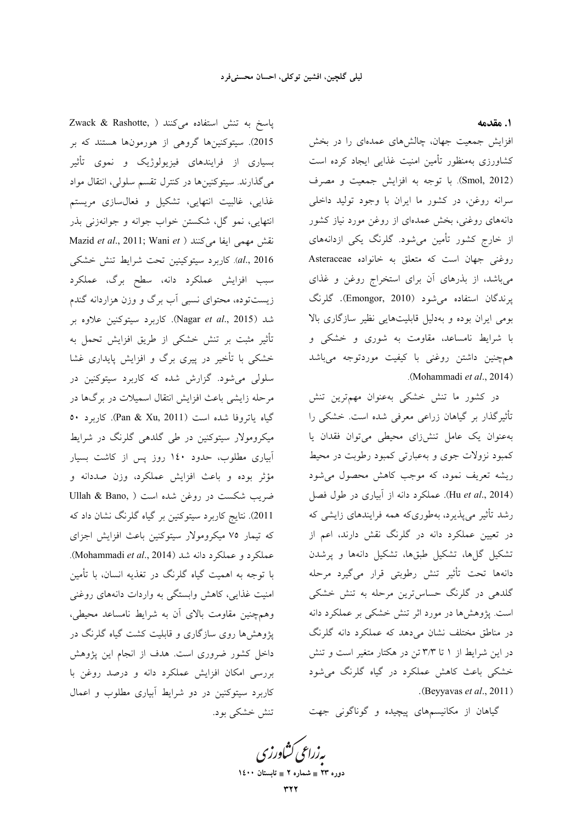پاسخ به تنش استفاده می کنند ( ,Zwack & Rashotte 2015). سیتوکنینها گروهی از هورمونها هستند که بر بسیاری از فرایندهای فیزیولوژیک و نموی تأثیر میگذارند. سیتوکنینها در کنترل تقسم سلولی، انتقال مواد غذایی، غالبیت انتهایی، تشکیل و فعالسازی مریستم انتهایی، نمو گل، شکستن خواب جوانه و جوانهزنی بذر Mazid et al., 2011; Wani et ) نقش مهمی ایفا میکنند al., 2016). كاربرد سيتوكينين تحت شرايط تنش خشكى سبب افزایش عملکرد دانه، سطح برگ، عملکرد زیستتوده، محتوای نسبی آب برگ و وزن هزاردانه گندم شد (Nagar et al., 2015). كاربرد سيتوكنين علاوه بر تأثیر مثبت بر تنش خشکی از طریق افزایش تحمل به خشکی با تأخیر در پیری برگ و افزایش پایداری غشا سلولی میشود. گزارش شده که کاربرد سیتوکنین در مرحله زایشی باعث افزایش انتقال اسمیلات در برگها در گیاه یاتروفا شده است (Pan & Xu, 2011). کاربرد ٥٠ میکرومولار سیتوکنین در طی گلدهی گلرنگ در شرایط آبیاری مطلوب، حدود ۱٤۰ روز پس از کاشت بسیار مؤثر بوده و باعث افزایش عملکرد، وزن صددانه و ضريب شكست در روغن شده است ( Ullah & Bano, 2011). نتایج کاربرد سیتوکنین بر گیاه گلرنگ نشان داد که که تیمار ۷۵ میکرومولار سیتوکنین باعث افزایش اجزای عملكرد و عملكرد دانه شد (Mohammadi et al., 2014). با توجه به اهمیت گیاه گلرنگ در تغذیه انسان، با تأمین امنیت غذایی، کاهش وابستگی به واردات دانههای روغنی وهمچنین مقاومت بالای آن به شرایط نامساعد محیطی، پژوهشها روی سازگاری و قابلیت کشت گیاه گلرنگ در داخل کشور ضروری است. هدف از انجام این پژوهش بررسی امکان افزایش عملکرد دانه و درصد روغن با کاربرد سیتوکنین در دو شرایط آبیاری مطلوب و اعمال تنش خشکی بود. 1. مقدمه

افزایش جمعیت جهان، چالشهای عمدهای را در بخش کشاورزی بهمنظور تأمین امنیت غذایی ایجاد کرده است (Smol, 2012). با توجه به افزایش جمعیت و مصرف سرانه روغن، در کشور ما ایران با وجود تولید داخلی دانههای روغنی، بخش عمدهای از روغن مورد نیاز کشور از خارج کشور تأمین میشود. گلرنگ یکی ازدانههای روغنی جهان است که متعلق به خانواده Asteraceae میباشد، از بذرهای آن برای استخراج روغن و غذای پرندگان استفاده میشود (Emongor, 2010). گلرنگ بومی ایران بوده و بهدلیل قابلیتهایی نظیر سازگاری بالا با شرایط نامساعد، مقاومت به شوری و خشکی و همچنین داشتن روغنی با کیفیت موردتوجه میباشد .(Mohammadi et al., 2014)

در کشور ما تنش خشکی بهعنوان مهمترین تنش تأثیرگذار بر گیاهان زراعی معرفی شده است. خشکی را به عنوان یک عامل تنش(ای محیطی می توان فقدان یا کمبود نزولات جوی و بهعبارتی کمبود رطوبت در محیط ریشه تعریف نمود، که موجب کاهش محصول می شود (Hu et al., 2014). عملکرد دانه از آبیاری در طول فصل رشد تأثیر میپذیرد، بهطوریکه همه فرایندهای زایشی که در تعیین عملکرد دانه در گلرنگ نقش دارند، اعم از تشکیل گلها، تشکیل طبقها، تشکیل دانهها و پرشدن دانهها تحت تأثير تنش رطوبتي قرار ميگيرد مرحله گلدهی در گلرنگ حساس ترین مرحله به تنش خشکی است. پژوهشها در مورد اثر تنش خشکی بر عملکرد دانه در مناطق مختلف نشان میدهد که عملکرد دانه گلرنگ در این شرایط از ۱ تا ۳/۳ تن در هکتار متغیر است و تنش خشکی باعث کاهش عملکرد در گیاه گلرنگ میشود .(Beyyavas et al., 2011)

گیاهان از مکانیسمهای پیچیده و گوناگونی جهت

بەزراعى كشاورزى دوره ۲۳ ∎ شماره ۲ ∎ تابستان ۱٤۰۰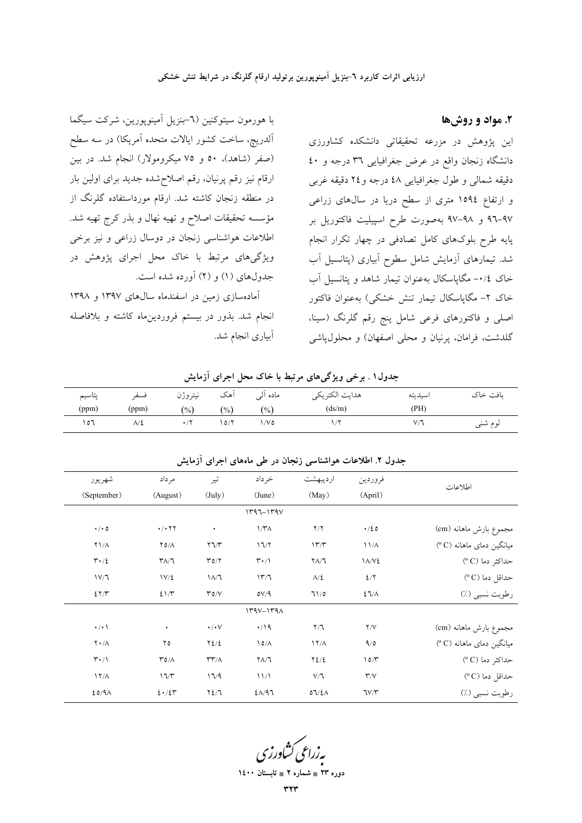### ۲. مواد و روشها

این پژوهش در مزرعه تحقیقاتی دانشکده کشاورزی دانشگاه زنجان واقع در عرض جغرافیایی ۳٦ درجه و ٤٠ دقيقه شمالي و طول جغرافيايي ٤٨ درجه و٢٤ دقيقه غربي و ارتفاع ۱۵۹٤ متری از سطح دریا در سالهای زراعی ۹۷–۹۲ و ۹۸–۹۷ بهصورت طرح اسپیلیت فاکتوریل بر پایه طرح بلوکهای کامل تصادفی در چهار تکرار انجام شد. تیمارهای آزمایش شامل سطوح آبیاری (پتانسیل آب خاک ۰/٤- مگاپاسکال بهعنوان تیمار شاهد و پتانسیل آب خاک ۲- مگاپاسکال تیمار تنش خشکی) بهعنوان فاکتور اصلی و فاکتورهای فرعی شامل پنج رقم گلرنگ (سینا، گلدشت، فرامان، پرنیان و محلی اصفهان) و محلول،یاشی

با هورمون سیتوکنین (٦-بنزیل آمینوپورین، شرکت سیگما آلدریچ، ساخت کشور ایالات متحده آمریکا) در سه سطح (صفر (شاهد)، ٥٠ و ٧٥ ميكرومولار) انجام شد. در بين ارقام نیز رقم پرنیان، رقم اصلاحشده جدید برای اولین بار در منطقه زنجان کاشته شد. ارقام مورداستفاده گلرنگ از مؤسسه تحقیقات اصلاح و تهیه نهال و بذر کرج تهیه شد. اطلاعات هواشناسی زنجان در دوسال زراعی و نیز برخی ویژگیهای مرتبط با خاک محل اجرای پژوهش در جدولهای (۱) و (۲) آورده شده است.

آمادهسازی زمین در اسفندماه سالهای ۱۳۹۷ و ۱۳۹۸ انجام شد. بذور در بیستم فروردینِماه کاشته و بلافاصله أبياري انجام شد.

| پتاسيم | فسفر  | نيتروژن | اهک   | مادہ الے | هدايت الكتريكي | اسيديته | ىافت خاك |
|--------|-------|---------|-------|----------|----------------|---------|----------|
| (ppm)  | (ppm) | (%)     | (9/0) | (%)      | (ds/m)         | (PH)    |          |
| ۲٥٦    | ۸/٤   |         | 0/7   | ۱/۷۵     |                | $V^*$   | لوم شنبي |

جدول۱. برخی ویژگیهای مرتبط با خاک محل اجرای آزمایش

| اطلاعات                  | فروردين                 | ارديبهشت                 | خرداد                           | تير                             | مر داد                                  | شهريور                          |
|--------------------------|-------------------------|--------------------------|---------------------------------|---------------------------------|-----------------------------------------|---------------------------------|
|                          | (April)                 | (May)                    | (June)                          | $(\text{July})$                 | (August)                                | (September)                     |
|                          |                         |                          | $1497 - 149$                    |                                 |                                         |                                 |
| مجموع بارش ماهانه (cm)   | $\cdot$ /20             | Y/Y                      | $1/\mathsf{r}\wedge$            | ٠                               | $\cdot$ / $\cdot$ $\uparrow$ $\uparrow$ | $\cdot/\cdot$ 0                 |
| میانگین دمای ماهانه (C°) | 11/A                    | $17^{\prime}/7^{\prime}$ | 17/7                            | $\Upsilon \Upsilon/\Upsilon$    | $Y \circ / \Lambda$                     | $Y1/\Lambda$                    |
| حداکثر دما (°C)          | $1\Lambda/V$            | $Y\Lambda/T$             | $\mathbf{r} \cdot / \mathbf{1}$ | $\Gamma$ 0/ $\gamma$            | $\mathsf{r}_{\Lambda/\mathsf{T}}$       | $\mathbf{r} \cdot \mathbf{r}$   |
| حداقل دما (°C)           | $2/\Upsilon$            | $\lambda/\xi$            | 177                             | $1/\lambda$                     | $1V/\xi$                                | 1V/T                            |
| رطوبت نسبي (٪)           | $27/\lambda$            | 71/0                     | OV/9                            | $\mathcal{N} \circ \mathcal{N}$ | 21/T                                    | 27/7                            |
|                          |                         |                          | $144V - 144A$                   |                                 |                                         |                                 |
| مجموع بارش ماهانه (cm)   | Y/V                     | $\mathsf{Y}/\mathsf{T}$  | $\cdot$ /19                     | $\cdot/\cdot$ $\vee$            | ٠                                       | $\cdot/\cdot$ \                 |
| میانگین دمای ماهانه (°C) | 9/0                     | $\frac{17}{\Lambda}$     | $\Delta$                        | $Y\Sigma/\Sigma$                | ۲٥                                      | $\mathbf{Y} \cdot / \mathbf{A}$ |
| حداکثر دما (°C)          | 10/T                    | $Y\Sigma/\Sigma$         | $\Gamma \wedge \wedge$          | $\Upsilon\Upsilon/\Lambda$      | $\Gamma \circ / \wedge$                 | $\mathbf{r} \cdot / \mathbf{1}$ |
| حداقل دما (°C)           | $\mathsf{r}/\mathsf{v}$ | $V/\mathbb{I}$           | 11/1                            | 17/9                            | 17/T                                    | $17/\lambda$                    |
| رطوبت نسبي (٪)           | TV/Y                    | 07/2A                    | $2\Lambda/97$                   | $Y\Sigma/T$                     | $2 \cdot 124$                           | 20/9                            |
|                          |                         |                          |                                 |                                 |                                         |                                 |

حدول ۲. اطلاعات هواشناسی زنجان در طی ماههای احرای آزمایش

<mark>یه زراعی کشاورز</mark>

دوره ۲۳ = شماره ۲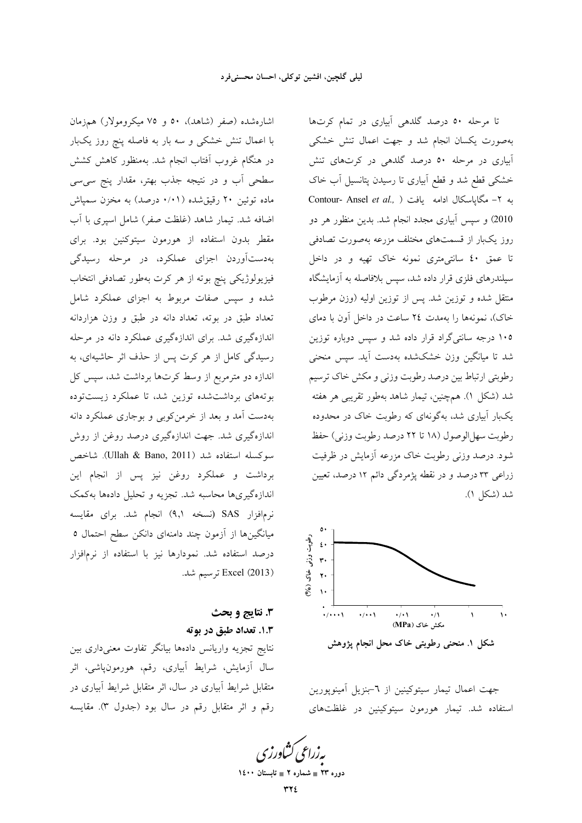اشارهشده (صفر (شاهد)، ٥٠ و ٧٥ ميكرومولار) همزمان با اعمال تنش خشکی و سه بار به فاصله پنچ روز یکبار در هنگام غروب آفتاب انجام شد. بهمنظور کاهش کشش سطحی آب و در نتیجه جذب بهتر، مقدار پنج سی سی ماده توئین ۲۰ رقیقشده (۰/۰۱ درصد) به مخزن سمپاش اضافه شد. تیمار شاهد (غلظت صفر) شامل اسیری با آب مقطر بدون استفاده از هورمون سيتوكنين بود. براي بهدستآوردن اجزاى عملكرد، در مرحله رسيدگى فیزیولوژیکی پنچ بوته از هر کرت بهطور تصادفی انتخاب شده و سپس صفات مربوط به اجزای عملکرد شامل تعداد طبق در بوته، تعداد دانه در طبق و وزن هزاردانه اندازهگیری شد. برای اندازهگیری عملکرد دانه در مرحله رسیدگی کامل از هر کرت پس از حذف اثر حاشیهای، به اندازه دو مترمربع از وسط کرتها برداشت شد، سپس کل بوتههای برداشتشده توزین شد، تا عملکرد زیستتوده بهدست آمد و بعد از خرمن کوبی و بوجاری عملکرد دانه اندازهگیری شد. جهت اندازهگیری درصد روغن از روش سوكسله استفاده شد (Ullah & Bano, 2011). شاخص برداشت و عملکرد روغن نیز پس از انجام این اندازهگیریها محاسبه شد. تجزیه و تحلیل دادهها بهکمک نرمافزار SAS (نسخه ۹٫۱) انجام شد. برای مقایسه میانگینها از آزمون چند دامنهای دانکن سطح احتمال ٥ درصد استفاده شد. نمودارها نیز با استفاده از نرمافزار (2013) Excel ترسيم شد.

# 3. نتايج و بحث 1.3. تعداد طبق در بوته

نتايج تجزيه واريانس دادهها بيانگر تفاوت معنىدارى بين سال آزمایش، شرایط آبیاری، رقم، هورمونپاشی، اثر متقابل شرایط آبیاری در سال، اثر متقابل شرایط آبیاری در رقم و اثر متقابل رقم در سال بود (جدول ٣). مقايسه

تا مرحله ٥٠ درصد گلدهی آبیاری در تمام کرتها بهصورت يكسان انجام شد و جهت اعمال تنش خشكى آبیاری در مرحله ٥٠ درصد گلدهی در کرتهای تنش خشکی قطع شد و قطع آبیاری تا رسیدن پتانسیل آب خاک Contour- Ansel et al., ) يه ٢- مگاياسكال ادامه يافت 2010) و سپس آبیاری مجدد انجام شد. بدین منظور هر دو روز یکبار از قسمتهای مختلف مزرعه بهصورت تصادفی تا عمق ٤٠ سانتي مترى نمونه خاك تهيه و در داخل سیلندرهای فلزی قرار داده شد، سپس بلافاصله به آزمایشگاه منتقل شده و توزین شد. پس از توزین اولیه (وزن مرطوب خاک)، نمونهها را بهمدت ٢٤ ساعت در داخل آون با دمای ۱۰۵ درجه سانتی گراد قرار داده شد و سپس دوباره توزین شد تا میانگین وزن خشکشده بهدست آید. سپس منحنی رطوبتي ارتباط بين درصد رطوبت وزني و مكش خاك ترسيم شد (شکل ۱). همچنین، تیمار شاهد بهطور تقریبی هر هفته یکبار آبیاری شد، بهگونهای که رطوبت خاک در محدوده رطوبت سهل الوصول (١٨ تا ٢٢ درصد رطوبت وزني) حفظ شود. درصد وزنی رطوبت خاک مزرعه آزمایش در ظرفیت زراعی ۳۳ درصد و در نقطه پژمردگی دائم ۱۲ درصد، تعیین شد (شکل ۱).



شکل ۱. منحنی رطوبتی خاک محل انجام پژوهش

جهت اعمال تيمار سيتوكينين از ٦-بنزيل آمينويورين استفاده شد. تیمار هورمون سیتوکینین در غلظتهای

بەزراعى ڭشاورز

دوره ۲۳ = شماره ۲ = تابستان ۱٤۰۰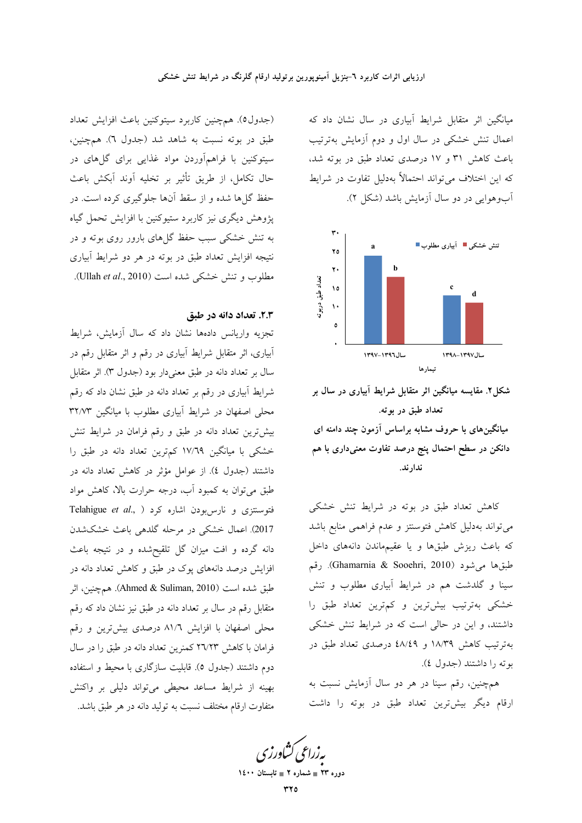میانگین اثر متقابل شرایط آبیاری در سال نشان داد که اعمال تنش خشکی در سال اول و دوم آزمایش بهترتیب باعث کاهش ۳۱ و ۱۷ درصدی تعداد طبق در بوته شد، که این اختلاف می تواند احتمالاً بهدلیل تفاوت در شرایط آب وهوایی در دو سال آزمایش باشد (شکل ۲).



شکل۲. مقایسه میانگین اثر متقابل شرایط آبیاری در سال بر تعداد طبق در بوته. میانگینهای با حروف مشابه براساس آزمون چند دامنه ای دانکن در سطح احتمال پنج درصد تفاوت معنی۱داری با هم ندار ند.

کاهش تعداد طبق در بوته در شرایط تنش خشکی می تواند بهدلیل کاهش فتوسنتز و عدم فراهمی منابع باشد که باعث ریزش طبقها و یا عقیمهاندن دانههای داخل طبقها میشود (Ghamarnia & Sooehri, 2010). رقم سینا و گلدشت هم در شرایط آبیاری مطلوب و تنش خشکی بهترتیب بیشترین و کمترین تعداد طبق را داشتند، و این در حالی است که در شرایط تنش خشکی بهترتیب کاهش ۱۸/۳۹ و ٤٨/٤٩ درصدی تعداد طبق در بوته را داشتند (جدول ٤).

همچنین، رقم سینا در هر دو سال آزمایش نسبت به ارقام دیگر بیشترین تعداد طبق در بوته را داشت

(جدول٥). همچنين كاربرد سيتوكنين باعث افزايش تعداد طبق در بوته نسبت به شاهد شد (جدول ٦). همچنین، سیتوکنین با فراهمآوردن مواد غذایی برای گلهای در حال تكامل، از طريق تأثير بر تخليه آوند آبكش باعث حفظ گل ها شده و از سقط آنها جلوگیری کرده است. در پژوهش دیگری نیز کاربرد ستیوکنین با افزایش تحمل گیاه به تنش خشکی سبب حفظ گلهای بارور روی بوته و در نتیجه افزایش تعداد طبق در بوته در هر دو شرایط آبیاری مطلوب و تنش خشکی شده است (Ullah et al., 2010).

### ٢.٣. تعداد دانه در طبق

تجزیه واریانس دادهها نشان داد که سال آزمایش، شرایط آبیاری، اثر متقابل شرایط آبیاری در رقم و اثر متقابل رقم در سال بر تعداد دانه در طبق معنیدار بود (جدول ۳). اثر متقابل شرایط آبیاری در رقم بر تعداد دانه در طبق نشان داد که رقم محلی اصفهان در شرایط آبیاری مطلوب با میانگین ۳۲/۷۳ بیش ترین تعداد دانه در طبق و رقم فرامان در شرایط تنش خشکی با میانگین ۱۷/٦۹ کم ترین تعداد دانه در طبق را داشتند (جدول ٤). از عوامل مؤثر در كاهش تعداد دانه در طبق میتوان به کمبود آب، درجه حرارت بالا، کاهش مواد Telahigue et al., ) فتوسنتزى و نارس بودن اشاره كرد 2017). اعمال خشکی در مرحله گلدهی باعث خشکشدن دانه گرده و افت میزان گل تلقیحشده و در نتیجه باعث افزایش درصد دانههای پوک در طبق و کاهش تعداد دانه در طبق شده است (Ahmed & Suliman, 2010). همچنین، اثر متقابل رقم در سال بر تعداد دانه در طبق نیز نشان داد که رقم محلی اصفهان با افزایش ۸۱/٦ درصدی بیشترین و رقم فرامان با کاهش ۲٦/۲۳ کمنرین تعداد دانه در طبق را در سال دوم داشتند (جدول ٥). قابلیت سازگاری با محیط و استفاده بهينه از شرايط مساعد محيطي مي تواند دليلي بر واكنش متفاوت ارقام مختلف نسبت به تولید دانه در هر طبق باشد.

دوره ۲۳ = شمار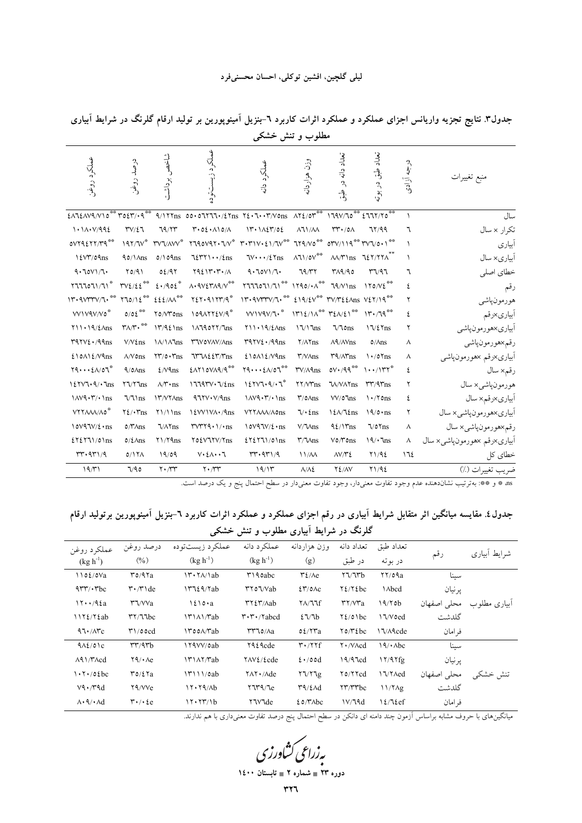|                                                                                |                                                                |                                          |                                                                                                                                        | ັ                                         |                                   |                                                  |                                                         |            |                            |
|--------------------------------------------------------------------------------|----------------------------------------------------------------|------------------------------------------|----------------------------------------------------------------------------------------------------------------------------------------|-------------------------------------------|-----------------------------------|--------------------------------------------------|---------------------------------------------------------|------------|----------------------------|
| عملكرد روغن                                                                    | درصد روغن                                                      | شاخص<br>، برداشت                         | عملكرد<br>لي.<br>په                                                                                                                    | عملكرد دانه                               | وزن هزاردانه                      | تعداد دانه در<br>$\oint$                         | تعداد طبق<br>در بوته                                    | درجه آزادی | منبع تغييرات               |
|                                                                                |                                                                |                                          | $EAXEAVQ/V10$ ** $TOEY/\cdot 9$ ** $Q/1YT_{\text{BS}}$ 00.0777./2 Yns $YE\cdot T\cdot Y/V0$ ns $AYE/0Y^{**}$ 179 $V/T0$ ** $ETY/Y0$ ** |                                           |                                   |                                                  |                                                         | $\lambda$  | سال                        |
| 1.1A. V/992                                                                    | $TV/\Sigma$                                                    | 79/77                                    | T.02.110/A                                                                                                                             | $17.1$ $127/02$                           | $\lambda$ 11/ $\lambda$           | $rr \cdot /0 \wedge$                             | 71/99                                                   | ٦          | تكرار x سال                |
| oVY9EYY/Y9                                                                     | $197/TV^*$                                                     | <b>MAY</b>                               |                                                                                                                                        |                                           |                                   |                                                  | $01 \times 119^{44} \text{100}001^{44}$                 |            | أبياري                     |
| 12V''/09ns                                                                     | $90/\lambda$ ns                                                | $0/\Omega$ 9ns                           | $72571 \cdot \frac{1}{2}$ ns                                                                                                           | $TV \cdots / \ell$ $Y$ ns                 | $\Lambda$ 1 \/0 V $^{\rm \#}$     |                                                  | $\frac{\lambda}{\gamma}$ ms $\frac{1}{2}$ $\frac{1}{2}$ | $\lambda$  | آبیاری×سال                 |
| 9.70V1/T                                                                       | Y0/91                                                          | 02/97                                    | Y921YYY/1                                                                                                                              | 9.70V1/T                                  | 79/77                             | 119/90                                           | T1/97                                                   | ٦          | خطاي اصلى                  |
| Y111011/T1                                                                     | $\text{TV} \mathcal{L} / \mathcal{L} \, \text{E}^{\text{max}}$ | 2.402                                    | $\Lambda$ . $9V\Sigma T\Lambda 9/V^{***}$                                                                                              | $Y111011/T1$ ** $1190/\cdot \Lambda^{**}$ |                                   | $79/V$ lns                                       | 170/V                                                   | ٤          | رقم                        |
| $11.40111144$ $11.4011244$                                                     |                                                                | $EEMW^{\otimes 8}$                       | $Y \xi Y \cdot 91 Y Y / 9$                                                                                                             | 11.4V                                     |                                   |                                                  |                                                         | ٢          | هورمونپاشي                 |
| VVIV9V/Vo*                                                                     | $0/0\,\xi$<br>**                                               | TO/VTOns                                 | 109AYYEV/9                                                                                                                             | VVVV                                      |                                   | $1712/\lambda^{**}$ $72\lambda/21^{**}$          | 11.79                                                   | ٤          | أبياري×رقم                 |
| $Y11 \cdot 19/\ell$ Ans                                                        | $\mathbf{r} \wedge \mathbf{r} \cdot \mathbf{r}$                | $17/9\ell$ \ns                           | 1/114077/1ns                                                                                                                           | $Y11 \cdot 19/\frac{\xi}{ms}$             | $17/17$ ns                        | $\sqrt{\cos \theta}$                             | $17/27$ ns                                              | ٢          | أبياري×هورمونپاشي          |
| $T97V\ell \cdot 99ns$                                                          | $V/V$ $t$ ns                                                   | <b>\A/\A\ns</b>                          | <b><i>T'WOVAV/Ans</i></b>                                                                                                              | $T97V\ell \cdot 99ns$                     | $Y/\Lambda Y$ ns                  | $\Lambda$ <sup>4</sup> / $\Lambda$ $\text{V}$ ns | $0/\text{Ans}$                                          | ٨          | رقم×هورمونپاشي             |
| $210$ A $12$ / $\gamma$ ans                                                    | $\wedge/\vee\mathfrak{0}\mathrm{ns}$                           | $\Upsilon\Upsilon/\circ\Upsilon$ ns      | ITINEET/Ths                                                                                                                            | $210$ A $12$ / $\gamma$ ans               | $\Upsilon/N$ Ans                  | $\Upsilon$ $\frac{4}{\pi}$                       | $\frac{\sqrt{3}}{2}$                                    | ٨          | أبياري×رقم ×هورمونپاشي     |
| $\mathbf{Y} \mathbf{Q} \cdots \mathbf{E} \mathbf{A} / \mathbf{O} \mathbf{T}^*$ | $9/0\text{Ans}$                                                | $2/\sqrt{9}$ ns                          | EATIOVA9/9**                                                                                                                           | $\gamma$ 9 $\epsilon \wedge \gamma$       | $\mathsf{rv}/\wedge \mathsf{Ans}$ | $oV \cdot / 99$                                  | $\cdots$ / $\Upsilon^*$                                 | ٤          | رقم× سال                   |
| 127V7.9/7ms                                                                    | Y7/Y1ns                                                        | $\wedge/\mathbf{\tilde{r}}\cdot$ ns      | $17797V \cdot 7/\ell$ ns                                                                                                               | 127V7.9/17"                               | $YY/VT$ ns                        | <b>W/VAYns</b>                                   | $rr/4r$ ns                                              | ٢          | هورمونپاشي×سال             |
| $1AV9.7'$ $\cdot$ 1 ns                                                         | $\sqrt{1}$                                                     | <b>IT/VYAns</b>                          | $47YV \cdot V/9ns$                                                                                                                     | $1\text{AV}9 \cdot \text{Y}/\cdot \ln s$  | $\Upsilon$ /0 $\Lambda$ ns        | $VV/0$ lns                                       | $\binom{1 + 70}{15}$                                    | ٤          | أبياري×رقم× سال            |
| VYYAAA/A0*                                                                     | $Y\ell/\cdot\text{Yns}$                                        | $Y1/\ln s$                               | I EVVIVA./9ns                                                                                                                          | VYYAAA/A0ns                               | $\sqrt{\cdot}$ {ns                | $12\lambda/\mathcal{I}$                          | $19/0 \cdot ns$                                         | ٢          | أبياري×هورمونپاشي×سال      |
| $10V97V/\ell \cdot ns$                                                         | $0/\gamma\$ Ans                                                | $1/\lambda$ as                           | $rvr\gamma\cdot 1/rns$                                                                                                                 | $10V97V/\ell \cdot ns$                    | $V/\sqrt{M}$                      | $92/15$ ms                                       | $\sqrt{0}$ $\sqrt{ns}$                                  | ٨          | رقم×هورمونپاشي×سال         |
| 2Y2Y71/01ns                                                                    | $0/\xi$ Ans                                                    | $Y1/Y$ ۹ns                               | TO EVITY/Tns                                                                                                                           | 2Y2Y71/01ns                               | $\Upsilon/\text{V}$ ns            | $V$ $0$ / $V$ $0$ ns                             | 19/3                                                    | ٨          | ابياري×رقم ×هورمونپاشي×سال |
| rr.971/9                                                                       | $0/17\Lambda$                                                  | 19/09                                    | $V \cdot \Sigma \wedge \cdot \cdot \top$                                                                                               | rr.971/9                                  | 11/M                              | $\Delta V/Y$                                     | Y1/92                                                   | ١٦٤        | خطای کل                    |
| 19/71                                                                          | 7/90                                                           | $\mathbf{Y} \cdot \mathbf{A} \mathbf{Y}$ | $\mathbf{Y} \cdot \mathbf{X}$                                                                                                          | 19/15                                     | $\Lambda/\Lambda$ ٤               | $Y_{\ell/N}$                                     | Y1/92                                                   |            | ضريب تغييرات (٪)           |

جدول۳. نتایج تجزیه واریانس اجزای عملکرد و عملکرد اثرات کاربرد ٦-بنزیل آمینوپورین بر تولید ارقام گلرنگ در شرایط آبیاری مطلوب وتنش خشکی

as \* و \*\*: بهترتیب نشاندهنده عدم وجود تفاوت معنیدار، وجود تفاوت معنیدار در سطح احتمال پنج و یک درصد است.

جدول٤. مقایسه میانگین اثر متقابل شرایط آبیاری در رقم اجزای عملکرد و عملکرد اثرات کاربرد ٦-بنزیل آمینوپورین برتولید ارقام گلرنگ در شرایط آبیاری مطلوب و تنش خشکی

|                                             |                                                       | ت                                             | ٮ                                                               | ر ب                                           |                                                 |                 |             |              |
|---------------------------------------------|-------------------------------------------------------|-----------------------------------------------|-----------------------------------------------------------------|-----------------------------------------------|-------------------------------------------------|-----------------|-------------|--------------|
| عملكرد روغن                                 | درصد روغن                                             | عملكرد زيستتوده                               | عملكرد دانه                                                     | وزن هزاردانه                                  | تعداد دانه                                      | تعداد طبق       |             | شرايط أبياري |
| $(kg h^{-1})$                               | (0/0)                                                 | $(kg h^{-1})$                                 | $(kg h^{-1})$                                                   | (g)                                           | در طبق                                          | در بوته         | رقم         |              |
| 1102/0Va                                    | $r$ <sup><math>\alpha</math></sup> $\alpha$           | $\Upsilon \cdot \Upsilon \wedge \Delta b$     | $\upmu$ 190abc                                                  | $\mathsf{r}\mathfrak{t}/\mathsf{A}\mathsf{e}$ | $\frac{1}{\sqrt{2}}$                            | $\frac{11}{20}$ | سىنا        |              |
| $4rr/\cdot rbc$                             | $\mathsf{r}\cdot\mathsf{r}\cdot\mathsf{d}\mathrm{e}$  | 17729/7ab                                     | $\mathsf{rr} \circ \mathsf{U} / \mathsf{V} ab$                  | 27/0AC                                        | $Y\ell/Y\ell bc$                                | <b>\</b> Abcd   | پر نيان     |              |
| 17.792a                                     | $\Upsilon \sqrt{\text{V}}$                            | $1210 \cdot a$                                | $\mathsf{r}\mathsf{r}\mathsf{r}\mathsf{r}$ /Aab                 | $Y\Lambda/T$                                  | $\mathsf{r}\mathsf{r}/\mathsf{v}\mathsf{r}$ a   | 19/70b          | محلى اصفهان | ابیاری مطلوب |
| 1172/72ab                                   | $\uparrow\uparrow/\uparrow\uparrow$ bc                |                                               | $\mathbf{r} \cdot \mathbf{r} \cdot \mathbf{r}$ abcd             | 27/7b                                         | $Y_{\ell}/\mathfrak{o}$ \bc                     | 17/Voed         | گلدشت       |              |
| 97.77c                                      | $\mathsf{M}/\mathsf{O}\mathsf{od}$                    | $\Upsilon$ $\Omega$ $\Lambda$ $\Upsilon$ $ab$ | $\mathsf{r}\mathsf{r}\mathsf{r}\mathsf{d}/\mathsf{A}\mathsf{a}$ | 02/17a                                        | $\gamma$                                        | 17/A9cde        | فہ امان     |              |
| $9\lambda\ell/01c$                          | rr/4rb                                                | 179VV/0ab                                     | <b>TALAcde</b>                                                  | $\mathbf{r} \cdot / \mathbf{r}$               | $\mathsf{Y} \cdot \mathsf{V}\wedge \mathsf{cd}$ | ۱۹/۰۸bc         | سىنا        |              |
| $\Lambda$ 91/ $\Upsilon$ $\Lambda$ cd       | $\mathsf{Y} \mathsf{Q} / \cdot \mathsf{A} \mathsf{e}$ | $\Upsilon \sim \Upsilon$                      | <b>TAV</b> <i>L</i> / <i>L</i> cde                              | $2 \cdot \sqrt{00d}$                          | 19/97cd                                         | 17/97fg         | پر نيان     |              |
| $\cdot \cdot \cdot$ /02bc                   | $\mathfrak{r} \circ / \mathfrak{c} \mathfrak{r}$ a    | $\frac{17}{11}/\rho ab$                       | YAY · / Ade                                                     | $Y \frac{1}{1}$                               | Y0/YYcd                                         | 17/YAed         | محلى اصفهان | تنش خشکی     |
| V9.79d                                      | ۲۹/VVe                                                | 17.79/Ab                                      | 7779/Te                                                         | $\Upsilon$ 9/٤ $\wedge$ d                     | <b>TY/TYbc</b>                                  | 11/7Ag          | گلدشت       |              |
| $\lambda \cdot \mathcal{A}/\cdot \lambda d$ | $\mathbf{r} \cdot \mathbf{r} \cdot \mathbf{r}$        | 17.77/1b                                      | ۲٦۷٦de                                                          | $20$ / $\gamma$ $Abc$                         | V/T4d                                           | $\frac{12}{12}$ | فہ امان     |              |

.<br>میانگینهای با حروف مشابه براساس آزمون چند دامنه ای دانکن در سطح احتمال پنج درصد تفاوت معنیداری با هم ندارند.

بەزراعى كشاورزى

دوره ۲۳ ـ شماره ۲ ـ تابستان ۱٤۰۰

 $rr7$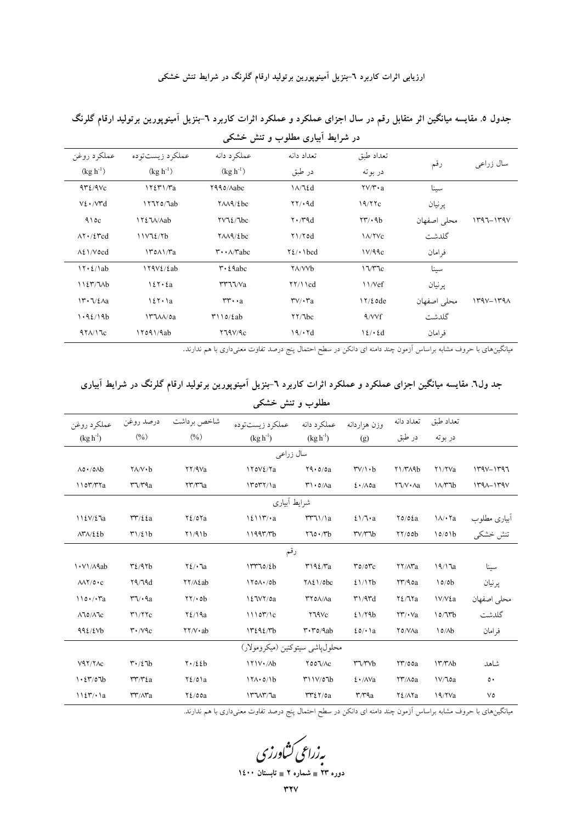ارزیابی اثرات کاربرد ٦-بنزیل آمینوپورین برتولید ارقام گلرنگ در شرایط تنش خشکی

|                                          |                                          |                                              | - در - ریا - بیاری - در - در - - در - - - در - - - - در |                                                     |             |               |  |
|------------------------------------------|------------------------------------------|----------------------------------------------|---------------------------------------------------------|-----------------------------------------------------|-------------|---------------|--|
| عملكرد روغن                              | عملکرد زیستتوده                          | عملكرد دانه                                  | تعداد دانه                                              | تعداد طبق                                           |             |               |  |
| $(kg h^{-1})$                            | $(kg h^{-1})$                            | $(kg h^{-1})$                                | در طبق                                                  | در بو ته                                            | رقم         | سال زراعي     |  |
| $4r\ell/4Vc$                             | 17271/Ta                                 | Y990/Aabc                                    | $1/\sqrt{2}d$                                           | $\mathsf{Y}\mathsf{Y}/\mathsf{Y}\cdot\mathsf{a}$    | سينا        |               |  |
| $V\S.$ / $V\Upsilon d$                   | 17770/7ab                                | $YAA$ / $2bc$                                | $\uparrow\uparrow/\uparrow\uparrow$                     | 19/77c                                              | پرنيان      |               |  |
| 910c                                     | ITEJA/Aab                                | $\Upsilon \vee \Upsilon$                     | $\mathsf{Y} \cdot \mathsf{Y} \mathsf{A} \mathrm{d}$     | $\mathbf{Y} \mathbf{Y} \cdot \mathbf{A} \mathbf{b}$ | محلى اصفهان | $1497 - 149V$ |  |
| $\Lambda$ ۲۰/٤ $\text{red}$              | 11V72/Vb                                 | $YAA$ / $2bc$                                | $\frac{1}{\sqrt{d}}$                                    | <b>IA/YVc</b>                                       | گلدشت       |               |  |
| $\Lambda$ 21/Vocd                        | $\frac{140 \text{ A} \cdot \text{A}}{2}$ | $\mathbf{r} \cdot \mathbf{A}/\mathbf{r}$ abc | $Y_{\ell}$ / $\cdot$ $\cdot$ $\cdot$ $\cdot$ $\cdot$    | 1V/99c                                              | فر امان     |               |  |
| $17.2/\lambda$ ab                        | $179V\frac{\xi}{\delta}$ ab              | $\mathbf{r} \cdot \mathbf{\mathfrak{e}}$ abc | <b>TA/VVb</b>                                           | 17/TC                                               | سينا        |               |  |
| $1127/7$ $Ab$                            | 127.2a                                   | rr77/va                                      | $\frac{1}{\sqrt{2}}$                                    | $\frac{1}{\sqrt{c}}$                                | ير نيان     |               |  |
| $\Upsilon \cdot \Upsilon / 2$ $\Delta a$ | $127 \cdot 1a$                           | $rr \cdot a$                                 | $\mathsf{r}\mathsf{v}/\mathsf{r}\mathsf{r}$ a           | $17/2$ ode                                          | محلى اصفهان | $149V - 149A$ |  |
| 1.92/19b                                 | $\Upsilon$ $\Lambda/\delta a$            | $\uparrow$ 110/2ab                           | $\frac{1}{\sqrt{2}}$                                    | $\sqrt{\frac{V}{f}}$                                | گلدشت       |               |  |
| 47/17c                                   | 17091/9ab                                | Y79V/9c                                      | 19/17d                                                  | $12/\cdot 2d$                                       | فر امان     |               |  |
|                                          |                                          |                                              |                                                         |                                                     |             |               |  |

جدول ۵. مقایسه میانگین اثر متقابل رقم در سال اجزای عملکرد و عملکرد اثرات کاربرد ٦-بنزیل آمینوپورین برتولید ارقام گلرنگ در شرایط آبیاری مطلوب و تنش خشکی

میانگینهای با حروف مشابه براساس اَزمون چند دامنه ای دانکن در سطح احتمال پنج درصد تفاوت معنیداری با هم ندارند.

| جد ول٦. مقایسه میانگین اجزای عملکرد و عملکرد اثرات کاربرد ٦-بنزیل آمینوپورین برتولید ارقام گلرنگ در شرایط آبیاری |  |  |
|------------------------------------------------------------------------------------------------------------------|--|--|
|                                                                                                                  |  |  |

| عملكرد روغن                           | درصد روغن                                         | شاخص برداشت                                            | عملكرد زيستتوده           | عملكرد دانه                                       | وزن هزاردانه                                   | تعداد دانه                                                     | تعداد طبق             |               |  |
|---------------------------------------|---------------------------------------------------|--------------------------------------------------------|---------------------------|---------------------------------------------------|------------------------------------------------|----------------------------------------------------------------|-----------------------|---------------|--|
| $(kg h-1)$                            | $(\%)$                                            | $\frac{9}{6}$                                          | $(kg h^{-1})$             | $(\text{kg h}^{-1})$                              | (g)                                            | در طبق                                                         | در بوته               |               |  |
| سال زراعي                             |                                                   |                                                        |                           |                                                   |                                                |                                                                |                       |               |  |
| $\Lambda$ 0 $\cdot$ /0 $\Lambda$ b    | $Y\Lambda/V \cdot b$                              | YY/9Va                                                 | I YOVE/Ya                 | $Y_1 \cdot 0 / 0a$                                | $\mathsf{TV}/\mathsf{N} \cdot \mathsf{b}$      | $Y\frac{M}{A}$                                                 | Y1/YVa                | $1490 - 1797$ |  |
| $\frac{1007}{T1a}$                    | $r\gamma/r\gamma_a$                               | $\gamma\gamma\gamma$ a                                 | $\frac{14047}{1a}$        | $\mathsf{r}\cdot\mathsf{o}/\Lambda a$             | $2 \cdot \Delta a$                             | $\mathsf{Y} \mathsf{Y} \mathsf{V} \cdot \mathsf{A} \mathsf{a}$ | $1/\sqrt{16}$         | $144 - 179V$  |  |
|                                       | شرايط آبياري                                      |                                                        |                           |                                                   |                                                |                                                                |                       |               |  |
| $\frac{1}{2}\frac{2V}{2\aa}$          | rr/22a                                            | $Y\xi/\delta Ya$                                       | $\frac{1211\tilde{r}}{a}$ | TT11/a                                            | $2\frac{1}{1}$ a                               | $\gamma$ 0/02a                                                 | $\lambda/\cdot$ Ya    | ابیاری مطلوب  |  |
| $\Lambda Y \Lambda / 22b$             | $T1/\ell b$                                       | Y1/91b                                                 | 11997/Tb                  | $\mathbf{y}_0 \cdot \mathbf{y}_0$                 | $\mathsf{r}\mathsf{v}/\mathsf{r}\mathsf{v}$    | YY/00b                                                         | 10/01b                | تنش خشكى      |  |
|                                       |                                                   |                                                        | رقم                       |                                                   |                                                |                                                                |                       |               |  |
| 1. V1/A9ab                            | $\mathbf{r}$ $\mathbf{r}$ $\mathbf{r}$            | $Y\ell/\cdot$ la                                       | 17770/fb                  | T192/Ta                                           | $r$ $0/0$ $r$ $c$                              | <b>YY/AYa</b>                                                  | 19/17a                | سينا          |  |
| $\lambda\lambda\Upsilon$ /0 $\cdot$ c | 19/19d                                            | YY/A2ab                                                | $170A \cdot 6b$           | $Y \wedge \xi \wedge \phi$                        | 21/17b                                         | YY/90a                                                         | 10/0 <sub>b</sub>     | پرنيان        |  |
| $\ln \cdot / \cdot \text{a}$          | $\mathsf{r}\mathsf{v}\cdot\mathsf{q}\mathsf{a}$   | $\frac{1}{\sqrt{2}}$                                   | 127VY/0a                  | <b>TYOA/Aa</b>                                    | $\mathsf{r}'\mathsf{1}/\mathsf{q}\mathsf{r}$ d | $Y\S2/Ta$                                                      | <b>IV/V</b> za        | محلى اصفهان   |  |
| $\Lambda$ 10/ $\Lambda$ 1 $c$         | T1/TC                                             | $Y\ell/\sqrt{a}$                                       | 1110T/1c                  | Y19Vc                                             | 21/79b                                         | $\Upsilon\Upsilon/\Upsilon$                                    | 10/Tb                 | گلدشت         |  |
| 992/2Vb                               | $\mathsf{r} \cdot \mathsf{N} \mathsf{c}$          | $\mathsf{Y} \mathsf{Y} / \mathsf{V} \cdot \mathsf{ab}$ | 17292/76                  | $\mathsf{r}\cdot\mathsf{r}\circ\wedge\mathsf{ab}$ | 20/11a                                         | Y0/VAa                                                         | $\lambda_0/\lambda_b$ | فر امان       |  |
|                                       | محلول،اشي سيتوكنين (ميكرومولار)                   |                                                        |                           |                                                   |                                                |                                                                |                       |               |  |
| V47/YAC                               | $\mathbf{r} \cdot / \mathbf{\mathcal{E}}$ 7b      | $Y \cdot / \xi b$                                      | $171V \cdot / Ab$         | YOO'V/AC                                          | $r\gamma\gamma\gamma b$                        | $\frac{1}{2}$ 00a                                              | $17/7$ ۸b             | شاهد          |  |
| 1.27/07b                              | $rr/r\epsilon$ a                                  | $Y_{\ell}/0$ a                                         | $17A \cdot 0/1b$          | T11V/07b                                          | $\mathcal{L} \cdot / \mathcal{N}$ a            | YY/A0a                                                         | IV/loa                | $\circ \cdot$ |  |
| 1127/1a                               | $\mathsf{r}\mathsf{r}$ / $\mathsf{r}\mathsf{r}$ a | $Y\xi/\rho$ oa                                         | ITUT/Ja                   | rr25/0a                                           | $\mathsf{r} \wedge \mathsf{r} \mathsf{q}$ a    | $Y_{\ell}/\Lambda Y_a$                                         | $19/Y$ a              | ٧٥            |  |

مطلوب و تنش خشکی

میانگینهای با حروف مشابه براساس آزمون چند دامنه ای دانکن در سطح احتمال پنج درصد تفاوت معنیداری با هم ندارند.

رزراعی کشاورزی<br>دوره ۲۳ ∎ شعاره ۲ ∎ نابستان ۱٤۰۰

**WYV**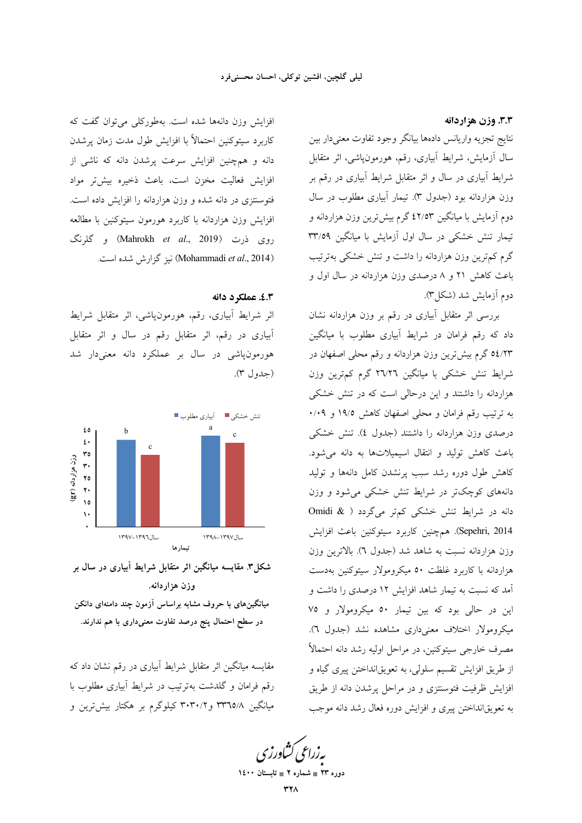٣.٣. وزن هزاردانه

نتايج تجزيه واريانس دادهها بيانگر وجود تفاوت معنىدار بين سال آزمایش، شرایط آبیاری، رقم، هورمونپاشی، اثر متقابل شرایط آبیاری در سال و اثر متقابل شرایط آبیاری در رقم بر وزن هزاردانه بود (جدول ٣). تيمار آبياري مطلوب در سال دوم آزمایش با میانگین ٤٢/٥٣ گرم بیشترین وزن هزاردانه و تیمار تنش خشکی در سال اول آزمایش با میانگین ۳۳/٥۹ گرم کمترین وزن هزاردانه را داشت و تنش خشکی بهترتیب باعث کاهش ۲۱ و ۸ درصدی وزن هزاردانه در سال اول و دوم أزمايش شد (شكل).

بررسی اثر متقابل آبیاری در رقم بر وزن هزاردانه نشان داد که رقم فرامان در شرایط آبیاری مطلوب با میانگین ٥٤/٢٣ گرم بيش ترين وزن هزاردانه و رقم محلي اصفهان در شرایط تنش خشکی با میانگین ۲۷٬۲۹ گرم کم,ترین وزن هزاردانه را داشتند و این درحالی است که در تنش خشکی به ترتیب رقم فرامان و محلی اصفهان کاهش ۱۹/۵ و ۰/۰۹ درصدی وزن هزاردانه را داشتند (جدول ٤). تنش خشکی باعث كاهش توليد و انتقال اسيميلاتها به دانه مى شود. کاهش طول دوره رشد سبب پرنشدن کامل دانهها و تولید دانههای کوچکتر در شرایط تنش خشکی می شود و وزن دانه در شرایط تنش خشکی کمتر میگردد ( & Omidi Sepehri, 2014). همچنین کاربرد سیتوکنین باعث افزایش وزن هزاردانه نسبت به شاهد شد (جدول ٦). بالاترين وزن هزاردانه با کاربرد غلظت ٥٠ میکرومولار سیتوکنین بهدست آمد که نسبت به تیمار شاهد افزایش ۱۲ درصدی را داشت و این در حالی بود که بین تیمار ٥٠ میکرومولار و ٧٥ میکرومولار اختلاف معنیداری مشاهده نشد (جدول ٦). مصرف خارجي سيتوكنين، در مراحل اوليه رشد دانه احتمالاً از طريق افزايش تقسيم سلولي، به تعويقانداختن پيرې گياه و افزایش ظرفیت فتوسنتزی و در مراحل پرشدن دانه از طریق به تعويقانداختن پيري و افزايش دوره فعال رشد دانه موجب

<mark>پەزراعى ڭناورز</mark>

دوره ۲۳ = شماره ۲ = تابستان ۱٤۰۰

افزایش وزن دانهها شده است. بهطورکلی می توان گفت که كاربرد سيتوكنين احتمالأ با افزايش طول مدت زمان پرشدن دانه و همچنین افزایش سرعت پرشدن دانه که ناشی از افزایش فعالیت مخزن است، باعث ذخیره بیش تر مواد فتوستتزی در دانه شده و وزن هزاردانه را افزایش داده است. افزایش وزن هزاردانه با کاربرد هورمون سیتوکنین با مطالعه روی ذرت (Mahrokh *et al.*, 2019) و گلرنگ (Mohammadi et al., 2014) نيز گزارش شده است.

٤.٣. عملكرد دانه

اثر شرایط ابیاری، رقم، هورمونپاشی، اثر متقابل شرایط آبیاری در رقم، اثر متقابل رقم در سال و اثر متقابل هورمونياشي در سال بر عملكرد دانه معنىدار شد (جدول ٣).



شکل۳. مقایسه میانگین اثر متقابل شرایط آبیاری در سال بر وزن هزاردانه. میانگینهای با حروف مشابه براساس آزمون چند دامنهای دانکن در سطح احتمال پنج درصد تفاوت معنیداری با هم ندارند.

مقایسه میانگین اثر متقابل شرایط آبیاری در رقم نشان داد که رقم فرامان و گلدشت بهترتیب در شرایط آبیاری مطلوب با میانگین ۳۳٦٥/۸ و ۳۰۳۰/۲ کیلوگرم بر هکتار بیشترین و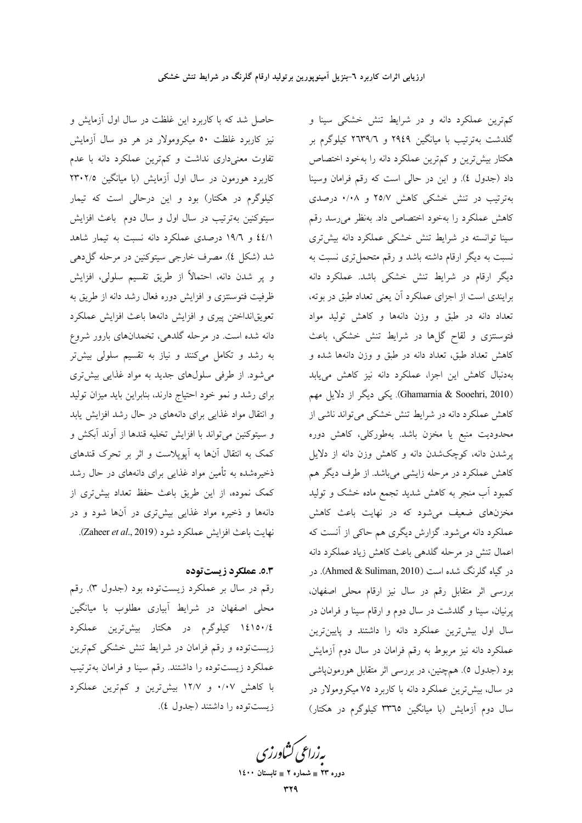حاصل شد که با کاربرد این غلظت در سال اول آزمایش و نیز کاربرد غلظت ۵۰ میکرومولار در هر دو سال آزمایش تفاوت معنیداری نداشت و کم,ترین عملکرد دانه با عدم کاربرد هورمون در سال اول آزمایش (با میانگین ۲۳۰۲/۵ کیلوگرم در هکتار) بود و این درحالی است که تیمار سیتوکنین بهترتیب در سال اول و سال دوم باعث افزایش ٤٤/١ و ١٩/٦ درصدي عملكرد دانه نسبت به تيمار شاهد شد (شکل ٤). مصرف خارجي سيتوکنين در مرحله گل(هي و پر شدن دانه، احتمالاً از طریق تقسیم سلولی، افزایش ظرفیت فتوسنتزی و افزایش دوره فعال رشد دانه از طریق به تعويقانداختن پيري و افزايش دانهها باعث افزايش عملكرد دانه شده است. در مرحله گلدهی، تخمدانهای بارور شروع به رشد و تکامل میکنند و نیاز به تقسیم سلولی بیشتر میشود. از طرفی سلولهای جدید به مواد غذایی بیشتری برای رشد و نمو خود احتیاج دارند، بنابراین باید میزان تولید و انتقال مواد غذایی برای دانههای در حال رشد افزایش پابد و سيتوكنين مي تواند با افزايش تخليه قندها از آوند آبكش و کمک به انتقال آنها به آپویلاست و اثر بر تحرک قندهای ذخیرهشده به تأمین مواد غذایی برای دانههای در حال رشد كمك نموده، از اين طريق باعث حفظ تعداد بيشترى از دانهها و ذخیره مواد غذایی بیشتری در آنها شود و در نهايت باعث افزايش عملكرد شود (Zaheer et al., 2019).

## 0.3. عملكرد زيست توده

رقم در سال بر عملکرد زیستتوده بود (جدول ٣). رقم محلی اصفهان در شرایط آبیاری مطلوب با میانگین ١٤١٥٠/٤ کیلوگرم در هکتار بیشترین عملکرد زیستتوده و رقم فرامان در شرایط تنش خشکی کمترین عملكرد زيستتوده را داشتند. رقم سينا و فرامان بهترتيب با کاهش ۰/۰۷ و ۱۲/۷ بیشترین و کم ترین عملکرد زيستتوده را داشتند (جدول ٤). کم ترین عملکرد دانه و در شرایط تنش خشکی سینا و گلدشت بهترتیب با میانگین ۲۹٤۹ و ۲۹۳۹/۲ کیلوگرم بر هکتار بیش ترین و کم ترین عملکرد دانه را بهخود اختصاص داد (جدول ٤). و اين در حالي است كه رقم فرامان وسينا بهترتیب در تنش خشکی کاهش ۲۵/۷ و ۰/۰۸ درصدی كاهش عملكرد را بهخود اختصاص داد. بهنظر مىرسد رقم سینا توانسته در شرایط تنش خشکی عملکرد دانه بیشتری نسبت به دیگر ارقام داشته باشد و رقم متحمل تری نسبت به دیگر ارقام در شرایط تنش خشکی باشد. عملکرد دانه برایندی است از اجزای عملکرد آن یعنی تعداد طبق در بوته، تعداد دانه در طبق و وزن دانهها و کاهش تولید مواد فتوسنتزی و لقاح گلها در شرایط تنش خشکی، باعث کاهش تعداد طبق، تعداد دانه در طبق و وزن دانهها شده و بهدنبال كاهش اين اجزا، عملكرد دانه نيز كاهش مى يابد (Ghamarnia & Sooehri, 2010). یکی دیگر از دلایل مهم کاهش عملکرد دانه در شرایط تنش خشکی می تواند ناشی از محدوديت منبع يا مخزن باشد. بهطوركلي، كاهش دوره پرشدن دانه، کوچکشدن دانه و کاهش وزن دانه از دلایل کاهش عملکرد در مرحله زایشی میباشد. از طرف دیگر هم کمبود آب منجر به کاهش شدید تجمع ماده خشک و تولید مخزنهای ضعیف میشود که در نهایت باعث کاهش عملکرد دانه میشود. گزارش دیگری هم حاکی از آنست که اعمال تنش در مرحله گلدهی باعث کاهش زیاد عملکرد دانه در گیاه گلرنگ شده است (Ahmed & Suliman, 2010). در بررسی اثر متقابل رقم در سال نیز ارقام محلی اصفهان، پرنیان، سینا و گلدشت در سال دوم و ارقام سینا و فرامان در سال اول بیشترین عملکرد دانه را داشتند و پایینترین عملکرد دانه نیز مربوط به رقم فرامان در سال دوم آزمایش بود (جدول ٥). همچنین، در بررسی اثر متقابل هورمون،پاشی در سال، بیشترین عملکرد دانه با کاربرد ۷۵ میکرومولار در سال دوم آزمایش (با میانگین ۳۳٦٥ کیلوگرم در هکتار)

بەزراعى ڭشاورزى

دوره ۲۳ = شماره ۲ = تابستان ۱٤۰۰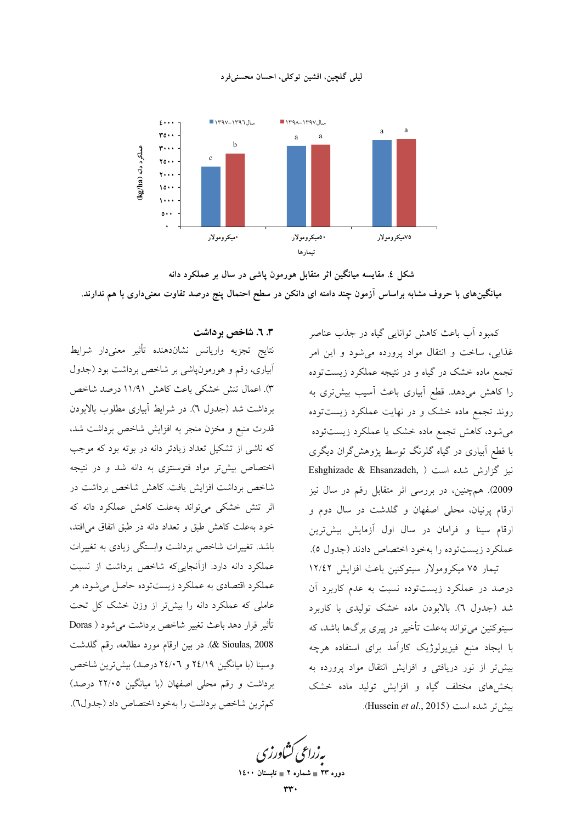



شکل ٤. مقایسه میانگین اثر متقابل هورمون پاشی در سال بر عملکرد دانه میانگینهای با حروف مشابه براساس آزمون چند دامنه ای دانکن در سطح احتمال پنج درصد تفاوت معنیداری با هم ندارند.

### ۳. ٦. شاخص برداشت

نتايج تجزيه واريانس نشاندهنده تأثير معنىدار شرايط آبیاری، رقم و هورمونپاشی بر شاخص برداشت بود (جدول ٣). اعمال تنش خشكي باعث كاهش ١١/٩١ درصد شاخص برداشت شد (جدول ٦). در شرايط آبياري مطلوب بالابودن قدرت منبع و مخزن منجر به افزایش شاخص برداشت شد، که ناشی از تشکیل تعداد زیادتر دانه در بوته بود که موجب اختصاص بیشتر مواد فتوسنتزی به دانه شد و در نتیجه شاخص برداشت افزایش یافت. کاهش شاخص برداشت در اثر تنش خشکی می تواند بهعلت کاهش عملکرد دانه که خود به علت كاهش طبق و تعداد دانه در طبق اتفاق مى افتد، باشد. تغییرات شاخص برداشت وابستگی زیادی به تغییرات عملکرد دانه دارد. ازآنجاییکه شاخص برداشت از نسبت عملکرد اقتصادی به عملکرد زیستتوده حاصل می شود، هر عاملی که عملکرد دانه را بیش تر از وزن خشک کل تحت تأثير قرار دهد باعث تغيير شاخص برداشت مي شود ( Doras & Sioulas, 2008). در بین ارقام مورد مطالعه، رقم گلدشت وسینا (با میانگین ۲٤/۱۹ و ۲٤/۰٦ درصد) بیش ترین شاخص برداشت و رقم محلی اصفهان (با میانگین ۲۲/۰۵ درصد) كمترين شاخص برداشت را بهخود اختصاص داد (جدول٦). کمبود آب باعث کاهش توانایی گیاه در جذب عناصر غذایی، ساخت و انتقال مواد پرورده می شود و این امر .<br>تجمع ماده خشک در گیاه و در نتیجه عملکرد زیستتوده را کاهش میدهد. قطع آبیاری باعث آسیب بیشتری به روند تجمع ماده خشک و در نهایت عملکرد زیستتوده می شود، کاهش تجمع ماده خشک یا عملکرد زیستتوده با قطع آبیاری در گیاه گلرنگ توسط پژوهشگران دیگری Eshghizade & Ehsanzadeh, ) نيز گزارش شده است 2009). همچنین، در بررسی اثر متقابل رقم در سال نیز ارقام پرنیان، محلی اصفهان و گلدشت در سال دوم و ارقام سینا و فرامان در سال اول آزمایش بیش ترین عملكرد زيستتوده را بهخود اختصاص دادند (جدول ٥). تیمار ۷۵ میکرومولار سیتوکنین باعث افزایش ۱۲/٤۲ درصد در عملکرد زیستتوده نسبت به عدم کاربرد آن شد (جدول ٦). بالابودن ماده خشک تولیدی با کاربرد سیتوکنین می تواند بهعلت تأخیر در پیری برگها باشد، که با ایجاد منبع فیزیولوژیک کارآمد برای استفاده هرچه بیشتر از نور دریافتی و افزایش انتقال مواد پرورده به بخشهای مختلف گیاه و افزایش تولید ماده خشک بيش تر شده است (Hussein et al., 2015).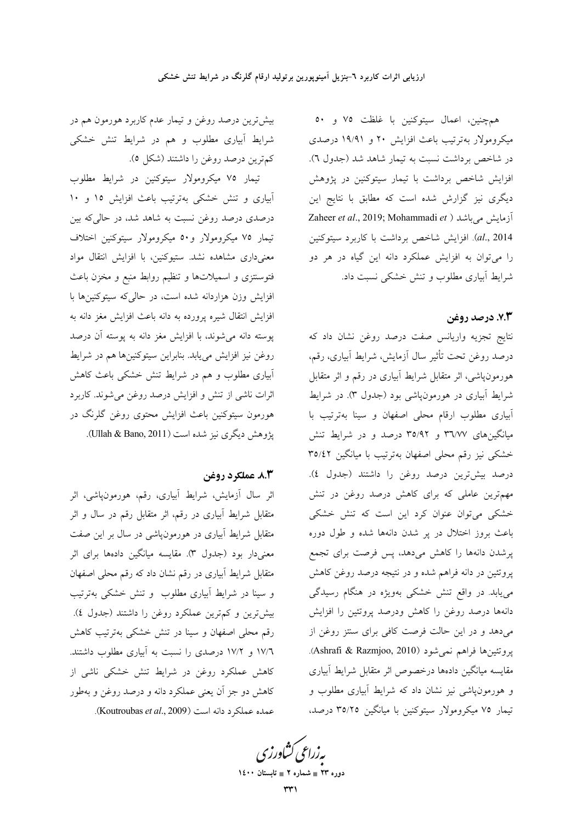بیشترین درصد روغن و تیمار عدم کاربرد هورمون هم در شرایط آبیاری مطلوب و هم در شرایط تنش خشکی كمترين درصد روغن را داشتند (شكل ٥).

تیمار ۷۵ میکرومولار سیتوکنین در شرایط مطلوب آبیاری و تنش خشکی بهترتیب باعث افزایش ۱۵ و ۱۰ درصدی درصد روغن نسبت به شاهد شد، در حالی که بین تیمار ۷۵ میکرومولار و ۵۰ میکرومولار سپتوکنین اختلاف معنی داری مشاهده نشد. ستیوکنین، با افزایش انتقال مواد فتوسنتزى و اسميلاتها و تنظيم روابط منبع و مخزن باعث افزایش وزن هزاردانه شده است، در حالی که سیتوکنینها با افزایش انتقال شیره پرورده به دانه باعث افزایش مغز دانه به پوسته دانه می شوند، با افزایش مغز دانه به پوسته آن درصد روغن نیز افزایش می یابد. بنابراین سیتوکنینها هم در شرایط آبیاری مطلوب و هم در شرایط تنش خشکی باعث کاهش اثرات ناشی از تنش و افزایش درصد روغن می شوند. کاربرد هورمون سیتوکنین باعث افزایش محتوی روغن گلرنگ در يژوهش ديگري نيز شده است (Ullah & Bano, 2011).

### 8.3 عملكرد روغن

اثر سال آزمایش، شرایط آبیاری، رقم، هورمون،پاشی، اثر متقابل شرایط آبیاری در رقم، اثر متقابل رقم در سال و اثر متقابل شرایط آبیاری در هورمون $\psi$ شی در سال بر این صفت معنیدار بود (جدول ۳). مقایسه میانگین دادهها برای اثر متقابل شرایط آبیاری در رقم نشان داد که رقم محلی اصفهان و سینا در شرایط آبیاری مطلوب و تنش خشکی بهترتیب بیش ترین و کم ترین عملکرد روغن را داشتند (جدول ٤). رقم محلی اصفهان و سینا در تنش خشکی بهترتیب کاهش ۱۷/٦ و ۱۷/۲ درصدی را نسبت به آبیاری مطلوب داشتند. کاهش عملکرد روغن در شرایط تنش خشکی ناشی از کاهش دو جز آن یعنی عملکرد دانه و درصد روغن و بهطور عمده عملكرد دانه است (Koutroubas et al., 2009).

همچنین، اعمال سیتوکنین با غلظت ۷۵ و ۵۰ میکرومولار بهترتیب باعث افزایش ۲۰ و ۱۹/۹۱ درصدی در شاخص برداشت نسبت به تیمار شاهد شد (جدول ٦). افزایش شاخص برداشت با تیمار سیتوکنین در پژوهش دیگری نیز گزارش شده است که مطابق با نتایج این Zaheer et al., 2019; Mohammadi et ) آزمایش میباشد al., 2014). افزايش شاخص برداشت با كاربرد سيتوكنين را می توان به افزایش عملکرد دانه این گیاه در هر دو شرایط آبیاری مطلوب و تنش خشکی نسبت داد.

### ٧.٣. درصد روغن

نتايج تجزيه واريانس صفت درصد روغن نشان داد كه درصد روغن تحت تأثير سال آزمايش، شرايط آبياري، رقم، هورمونپاشی، اثر متقابل شرایط آبیاری در رقم و اثر متقابل شرایط آبیاری در هورمونپاشی بود (جدول ۳). در شرایط آبیاری مطلوب ارقام محلی اصفهان و سینا بهترتیب با میانگینهای ۳٦/٧٧ و ۳٥/٩٢ درصد و در شرایط تنش خشکی نیز رقم محلی اصفهان بهترتیب با میانگین ۳٥/٤٢ درصد بيشترين درصد روغن را داشتند (جدول ٤). مهم ترین عاملی که برای کاهش درصد روغن در تنش خشکی میتوان عنوان کرد این است که تنش خشکی باعث بروز اختلال در پر شدن دانهها شده و طول دوره پرشدن دانهها را کاهش میدهد، پس فرصت برای تجمع پروتئین در دانه فراهم شده و در نتیجه درصد روغن کاهش می یابد. در واقع تنش خشکی بهویژه در هنگام رسیدگی دانهها درصد روغن را كاهش ودرصد پروتئين را افزايش میدهد و در این حالت فرصت کافی برای سنتز روغن از پروتئينها فراهم نمي شود (Ashrafi & Razmjoo, 2010). مقايسه ميانگين دادهها درخصوص اثر متقابل شرايط آبيارى و هورمونپاشی نیز نشان داد که شرایط آبیاری مطلوب و تیمار ۷۵ میکرومولار سیتوکنین با میانگین ۳۵/۲۵ درصد،

بەزراعى ڭشاورزى

دوره ۲۳ = شماره ۲ = تابستان ۱٤۰۰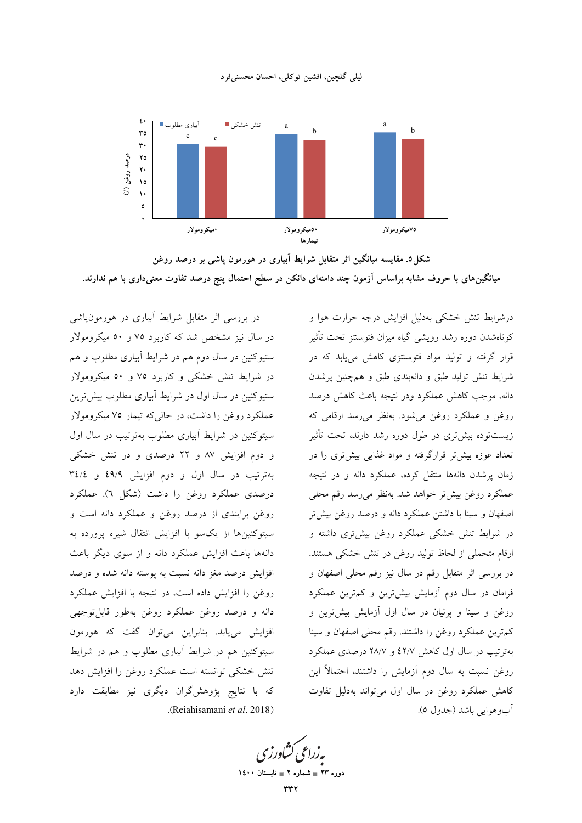#### ليلي گلچين، افشين توكلي، احسان محسنىفرد



شکل0. مقایسه میانگین اثر متقابل شرایط آبیاری در هورمون پاشی بر درصد روغن میانگینهای با حروف مشابه براساس آزمون چند دامنهای دانکن در سطح احتمال پنج درصد تفاوت معنیداری با هم ندارند.

در بررسی اثر متقابل شرایط آبیاری در هورمونپاشی در سال نیز مشخص شد که کاربرد ۷۵ و ۵۰ میکرومولار ستیوکنین در سال دوم هم در شرایط آبیاری مطلوب و هم در شرایط تنش خشکی و کاربرد ۷۵ و ۵۰ میکرومولار ستیوکنین در سال اول در شرایط آبیاری مطلوب بیش ترین عملکرد روغن را داشت، در حالی که تیمار ۷۵ میکرومولار سپتوکنین در شرایط آبیاری مطلوب بهترتیب در سال اول و دوم افزایش ۸۷ و ۲۲ درصدی و در تنش خشکی بهترتيب در سال اول و دوم افزايش ٤٩/٩ و ٣٤/٤ درصدی عملکرد روغن را داشت (شکل ٦). عملکرد روغن برایندی از درصد روغن و عملکرد دانه است و سیتوکنینها از یکسو با افزایش انتقال شیره پرورده به دانهها باعث افزایش عملکرد دانه و از سوی دیگر باعث افزايش درصد مغز دانه نسبت به پوسته دانه شده و درصد روغن را افزایش داده است، در نتیجه با افزایش عملکرد دانه و درصد روغن عملكرد روغن بهطور قابل توجهي افزایش می یابد. بنابراین می توان گفت که هورمون سیتوکنین هم در شرایط آبیاری مطلوب و هم در شرایط تنش خشکی توانسته است عملکرد روغن را افزایش <mark>ده</mark>د که با نتایج پژوهش گران دیگری نیز مطابقت دارد (Reiahisamani et al. 2018).

درشرایط تنش خشکی بهدلیل افزایش درجه حرارت هوا و كوتاهشدن دوره رشد رويشي گياه ميزان فتوسنتز تحت تأثير قرار گرفته و تولید مواد فتوسنتزی کاهش می یابد که در شرایط تنش تولید طبق و دانهبندی طبق و همچنین پرشدن دانه، موجب كاهش عملكرد ودر نتيجه باعث كاهش درصد روغن و عملکرد روغن می شود. بهنظر می رسد ارقامی که زیستتوده بیشتری در طول دوره رشد دارند، تحت تأثیر تعداد غوزه بیش تر قرارگرفته و مواد غذایی بیش تری را در زمان پرشدن دانهها منتقل کرده، عملکرد دانه و در نتیجه عملکرد روغن بیشتر خواهد شد. بهنظر میرسد رقم محلی اصفهان و سینا با داشتن عملکرد دانه و درصد روغن بیشتر در شرایط تنش خشکی عملکرد روغن بیشتری داشته و ارقام متحملي از لحاظ توليد روغن در تنش خشكي هستند. در بررسی اثر متقابل رقم در سال نیز رقم محلی اصفهان و فرامان در سال دوم آزمایش بیش ترین و کم ترین عملکرد روغن و سینا و پرنیان در سال اول آزمایش بیشترین و كم ترين عملكرد روغن را داشتند. رقم محلي اصفهان و سينا بهترتیب در سال اول کاهش ٤٢/٧ و ٢٨/٧ درصدی عملکرد روغن نسبت به سال دوم آزمایش را داشتند، احتمالاً این کاهش عملکرد روغن در سال اول می تواند بهدلیل تفاوت آبوهوايي باشد (جدول ٥).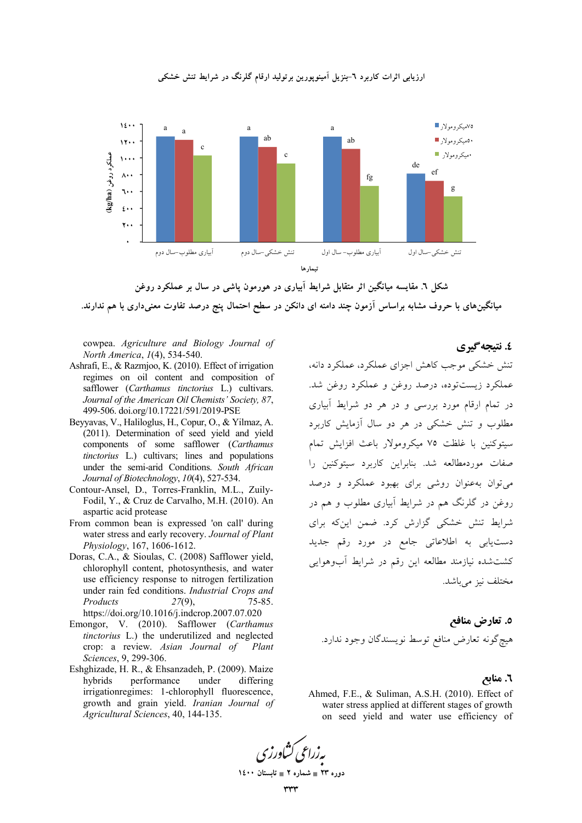

ارزیابی اثرات کاربرد ٦-بنزیل آمینویورین برتولید ارقام گلرنگ در شرایط تنش خشکی



cowpea. Agriculture and Biology Journal of North America, 1(4), 534-540.

- Ashrafi, E., & Razmjoo, K. (2010). Effect of irrigation regimes on oil content and composition of safflower (Carthamus tinctorius L.) cultivars. Journal of the American Oil Chemists' Society, 87, 499-506. doi.org/10.17221/591/2019-PSE
- Beyyavas, V., Haliloglus, H., Copur, O., & Yilmaz, A. (2011). Determination of seed yield and yield components of some safflower (Carthamus tinctorius L.) cultivars; lines and populations under the semi-arid Conditions. South African Journal of Biotechnology, 10(4), 527-534.
- Contour-Ansel, D., Torres-Franklin, M.L., Zuily-Fodil, Y., & Cruz de Carvalho, M.H. (2010). An aspartic acid protease
- From common bean is expressed 'on call' during water stress and early recovery. Journal of Plant Physiology, 167, 1606-1612.
- Doras, C.A., & Sioulas, C. (2008) Safflower yield, chlorophyll content, photosynthesis, and water use efficiency response to nitrogen fertilization under rain fed conditions. Industrial Crops and Products  $75 - 85.$  $27(9)$ , https://doi.org/10.1016/j.indcrop.2007.07.020
- Emongor, V. (2010). Safflower (Carthamus tinctorius L.) the underutilized and neglected crop: a review. Asian Journal of Plant Sciences, 9, 299-306.
- Eshghizade, H. R., & Ehsanzadeh, P. (2009). Maize hybrids performance under differing irrigationregimes: 1-chlorophyll fluorescence, growth and grain yield. Iranian Journal of Agricultural Sciences, 40, 144-135.

## ٤. نتيجه گيري

تنش خشکی موجب کاهش اجزای عملکرد، عملکرد دانه، عملکرد زیستتوده، درصد روغن و عملکرد روغن شد. در تمام ارقام مورد بررسی و در هر دو شرایط آبیاری مطلوب و تنش خشکی در هر دو سال آزمایش کاربرد سبتوكنين با غلظت ٧٥ ميكرومولار باعث افزايش تمام صفات موردمطالعه شد. بنابراین کاربرد سیتوکنین را می توان به عنوان روشی برای بهبود عملکرد و درصد روغن در گلرنگ هم در شرایط آبیاری مطلوب و هم در شرایط تنش خشکی گزارش کرد. ضمن اینکه برای دستیابی به اطلاعاتی جامع در مورد رقم جدید کشتشده نیازمند مطالعه این رقم در شرایط آبوهوایی مختلف نيز مي باشد.

٥. تعارض منافع هيچ گونه تعارض منافع توسط نويسندگان وجود ندارد.

### ٦. منابع

Ahmed, F.E., & Suliman, A.S.H. (2010). Effect of water stress applied at different stages of growth on seed yield and water use efficiency of

دوره ۲۳ = شماره ۲ = تابستان ۱٤۰۰